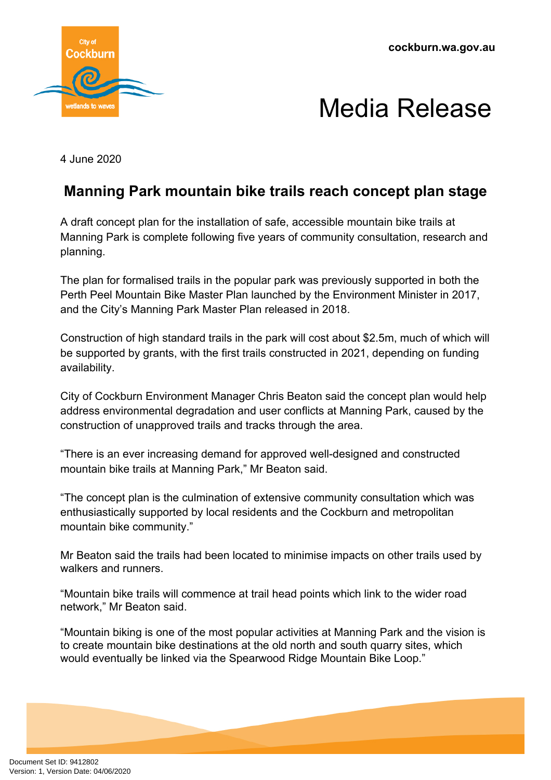**cockburn.wa.gov.au**



## Media Release

4 June 2020

## **Manning Park mountain bike trails reach concept plan stage**

A draft concept plan for the installation of safe, accessible mountain bike trails at Manning Park is complete following five years of community consultation, research and planning.

The plan for formalised trails in the popular park was previously supported in both the Perth Peel Mountain Bike Master Plan launched by the Environment Minister in 2017, and the City's Manning Park Master Plan released in 2018.

Construction of high standard trails in the park will cost about \$2.5m, much of which will be supported by grants, with the first trails constructed in 2021, depending on funding availability.

City of Cockburn Environment Manager Chris Beaton said the concept plan would help address environmental degradation and user conflicts at Manning Park, caused by the construction of unapproved trails and tracks through the area.

"There is an ever increasing demand for approved well-designed and constructed mountain bike trails at Manning Park," Mr Beaton said.

"The concept plan is the culmination of extensive community consultation which was enthusiastically supported by local residents and the Cockburn and metropolitan mountain bike community."

Mr Beaton said the trails had been located to minimise impacts on other trails used by walkers and runners.

"Mountain bike trails will commence at trail head points which link to the wider road network," Mr Beaton said.

"Mountain biking is one of the most popular activities at Manning Park and the vision is to create mountain bike destinations at the old north and south quarry sites, which would eventually be linked via the Spearwood Ridge Mountain Bike Loop."

Document Set ID: 9412802<br>Version: 1, Version Date: 04/06/2020